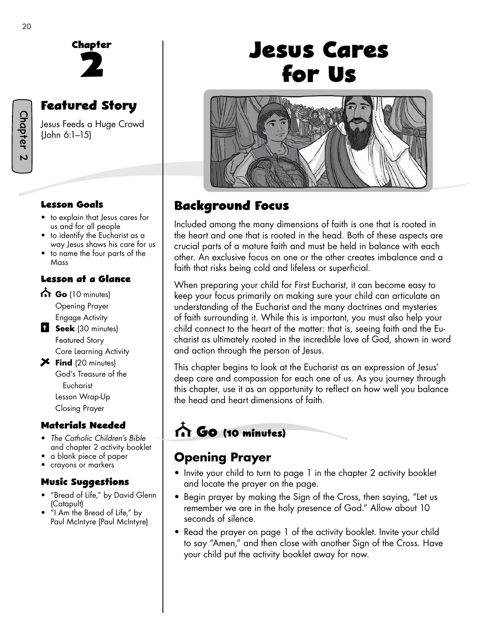Chapter 2



# **Featured Story**

Jesus Feeds a Huge Crowd (John 6:1–15)

#### **Lesson Goals**

- to explain that Jesus cares for us and for all people
- to identify the Eucharist as a way Jesus shows his care for us
- to name the four parts of the Mass

#### **Lesson at a Glance**

- Go (10 minutes) Opening Prayer
- Engage Activity **Seek** (30 minutes) Featured Story Core Learning Activity
- **Find** (20 minutes) God's Treasure of the Eucharist Lesson Wrap-Up Closing Prayer

#### **Materials Needed**

- *The Catholic Children's Bible*  and chapter 2 activity booklet
- a blank piece of paper
- crayons or markers

#### **Music Suggestions**

- "Bread of Life," by David Glenn (Catapult)
- "I Am the Bread of Life," by Paul McIntyre (Paul McIntyre)

# **Jesus Cares for Us**



### **Background Focus**

Included among the many dimensions of faith is one that is rooted in the heart and one that is rooted in the head. Both of these aspects are crucial parts of a mature faith and must be held in balance with each other. An exclusive focus on one or the other creates imbalance and a faith that risks being cold and lifeless or superficial.

When preparing your child for First Eucharist, it can become easy to keep your focus primarily on making sure your child can articulate an understanding of the Eucharist and the many doctrines and mysteries of faith surrounding it. While this is important, you must also help your child connect to the heart of the matter: that is, seeing faith and the Eucharist as ultimately rooted in the incredible love of God, shown in word and action through the person of Jesus.

This chapter begins to look at the Eucharist as an expression of Jesus' deep care and compassion for each one of us. As you journey through this chapter, use it as an opportunity to reflect on how well you balance the head and heart dimensions of faith.

# **Go (10 minutes)**

# **Opening Prayer**

- Invite your child to turn to page 1 in the chapter 2 activity booklet and locate the prayer on the page.
- Begin prayer by making the Sign of the Cross, then saying, "Let us remember we are in the holy presence of God." Allow about 10 seconds of silence.
- Read the prayer on page 1 of the activity booklet. Invite your child to say "Amen," and then close with another Sign of the Cross. Have your child put the activity booklet away for now.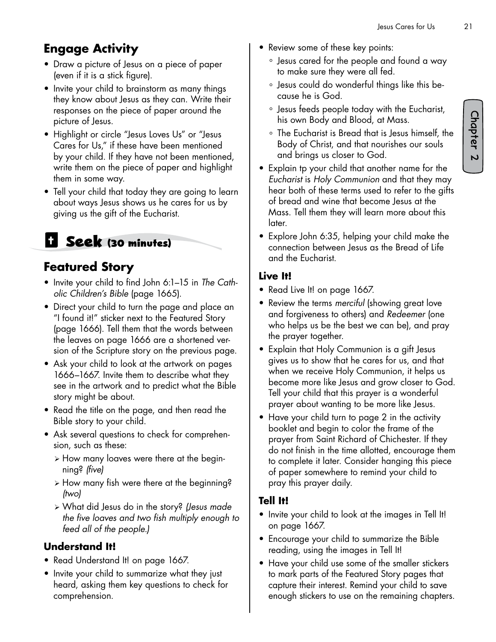### **Engage Activity**

- Draw a picture of Jesus on a piece of paper (even if it is a stick figure).
- Invite your child to brainstorm as many things they know about Jesus as they can. Write their responses on the piece of paper around the picture of Jesus.
- Highlight or circle "Jesus Loves Us" or "Jesus Cares for Us," if these have been mentioned by your child. If they have not been mentioned, write them on the piece of paper and highlight them in some way.
- Tell your child that today they are going to learn about ways Jesus shows us he cares for us by giving us the gift of the Eucharist.

# **Seek (30 minutes)**

### **Featured Story**

- Invite your child to find John 6:1–15 in *The Catholic Children's Bible* (page 1665).
- Direct your child to turn the page and place an "I found it!" sticker next to the Featured Story (page 1666). Tell them that the words between the leaves on page 1666 are a shortened version of the Scripture story on the previous page.
- Ask your child to look at the artwork on pages 1666–1667. Invite them to describe what they see in the artwork and to predict what the Bible story might be about.
- Read the title on the page, and then read the Bible story to your child.
- Ask several questions to check for comprehension, such as these:
	- ¾ How many loaves were there at the beginning? *(five)*
	- ¾ How many fish were there at the beginning? *(two)*
	- ¾ What did Jesus do in the story? *(Jesus made the five loaves and two fish multiply enough to feed all of the people.)*

#### **Understand It!**

- Read Understand It! on page 1667.
- Invite your child to summarize what they just heard, asking them key questions to check for comprehension.
- Review some of these key points:
	- ° Jesus cared for the people and found a way to make sure they were all fed.
	- ° Jesus could do wonderful things like this because he is God.
	- ° Jesus feeds people today with the Eucharist, his own Body and Blood, at Mass.
	- ° The Eucharist is Bread that is Jesus himself, the Body of Christ, and that nourishes our souls and brings us closer to God.
- Explain tp your child that another name for the *Eucharist* is *Holy Communion* and that they may hear both of these terms used to refer to the gifts of bread and wine that become Jesus at the Mass. Tell them they will learn more about this later.
- Explore John 6:35, helping your child make the connection between Jesus as the Bread of Life and the Eucharist.

#### **Live It!**

- Read Live It! on page 1667.
- Review the terms *merciful* (showing great love and forgiveness to others) and *Redeemer* (one who helps us be the best we can be), and pray the prayer together.
- Explain that Holy Communion is a gift Jesus gives us to show that he cares for us, and that when we receive Holy Communion, it helps us become more like Jesus and grow closer to God. Tell your child that this prayer is a wonderful prayer about wanting to be more like Jesus.
- Have your child turn to page 2 in the activity booklet and begin to color the frame of the prayer from Saint Richard of Chichester. If they do not finish in the time allotted, encourage them to complete it later. Consider hanging this piece of paper somewhere to remind your child to pray this prayer daily.

#### **Tell It!**

- Invite your child to look at the images in Tell It! on page 1667.
- Encourage your child to summarize the Bible reading, using the images in Tell It!
- Have your child use some of the smaller stickers to mark parts of the Featured Story pages that capture their interest. Remind your child to save enough stickers to use on the remaining chapters.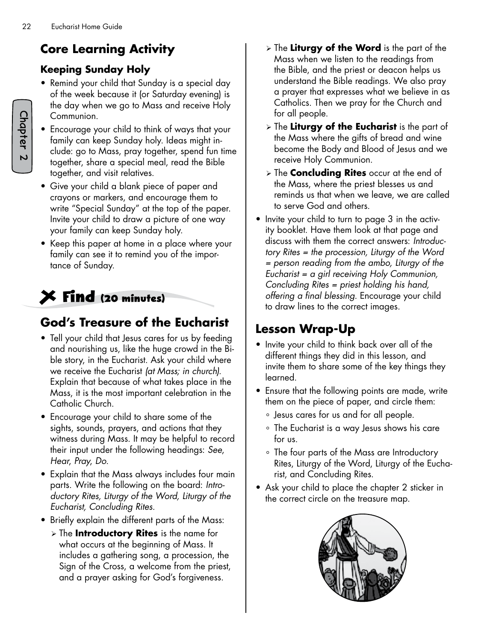# **Core Learning Activity**

#### **Keeping Sunday Holy**

- Remind your child that Sunday is a special day of the week because it (or Saturday evening) is the day when we go to Mass and receive Holy Communion.
- Encourage your child to think of ways that your family can keep Sunday holy. Ideas might include: go to Mass, pray together, spend fun time together, share a special meal, read the Bible together, and visit relatives.
- Give your child a blank piece of paper and crayons or markers, and encourage them to write "Special Sunday" at the top of the paper. Invite your child to draw a picture of one way your family can keep Sunday holy.
- Keep this paper at home in a place where your family can see it to remind you of the importance of Sunday.

# **Find (20 minutes)**

### **God's Treasure of the Eucharist**

- Tell your child that Jesus cares for us by feeding and nourishing us, like the huge crowd in the Bible story, in the Eucharist. Ask your child where we receive the Eucharist *(at Mass; in church).*  Explain that because of what takes place in the Mass, it is the most important celebration in the Catholic Church.
- Encourage your child to share some of the sights, sounds, prayers, and actions that they witness during Mass. It may be helpful to record their input under the following headings: *See*, *Hear*, *Pray*, *Do*.
- Explain that the Mass always includes four main parts. Write the following on the board: *Introductory Rites, Liturgy of the Word, Liturgy of the Eucharist, Concluding Rites.*
- Briefly explain the different parts of the Mass:
	- ¾ The **Introductory Rites** is the name for what occurs at the beginning of Mass. It includes a gathering song, a procession, the Sign of the Cross, a welcome from the priest, and a prayer asking for God's forgiveness.
- ¾ The **Liturgy of the Word** is the part of the Mass when we listen to the readings from the Bible, and the priest or deacon helps us understand the Bible readings. We also pray a prayer that expresses what we believe in as Catholics. Then we pray for the Church and for all people.
- ¾ The **Liturgy of the Eucharist** is the part of the Mass where the gifts of bread and wine become the Body and Blood of Jesus and we receive Holy Communion.
- ¾ The **Concluding Rites** occur at the end of the Mass, where the priest blesses us and reminds us that when we leave, we are called to serve God and others.
- Invite your child to turn to page 3 in the activity booklet. Have them look at that page and discuss with them the correct answers: *Introductory Rites = the procession, Liturgy of the Word = person reading from the ambo, Liturgy of the Eucharist = a girl receiving Holy Communion, Concluding Rites = priest holding his hand, offering a final blessing.* Encourage your child to draw lines to the correct images.

### **Lesson Wrap-Up**

- Invite your child to think back over all of the different things they did in this lesson, and invite them to share some of the key things they learned.
- Ensure that the following points are made, write them on the piece of paper, and circle them:
	- ° Jesus cares for us and for all people.
	- ° The Eucharist is a way Jesus shows his care for us.
	- ° The four parts of the Mass are Introductory Rites, Liturgy of the Word, Liturgy of the Eucharist, and Concluding Rites.
- Ask your child to place the chapter 2 sticker in the correct circle on the treasure map.